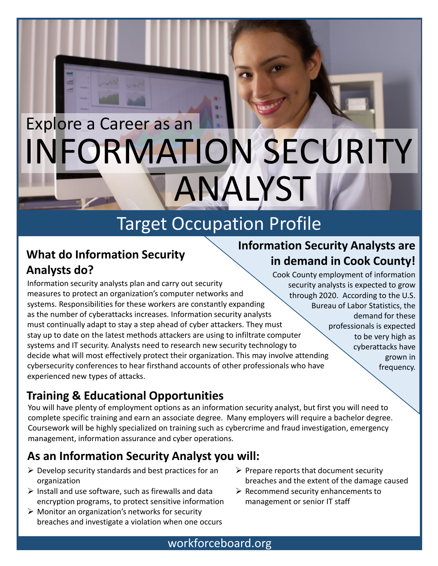# INFORMATION SECURITY Explore a Career as an ANALYST

## Target Occupation Profile

#### **What do Information Security Analysts do?**

Information security analysts plan and carry out security measures to protect an organization's computer networks and systems. Responsibilities for these workers are constantly expanding as the number of cyberattacks increases. Information security analysts must continually adapt to stay a step ahead of cyber attackers. They must stay up to date on the latest methods attackers are using to infiltrate computer systems and IT security. Analysts need to research new security technology to decide what will most effectively protect their organization. This may involve attending cybersecurity conferences to hear firsthand accounts of other professionals who have experienced new types of attacks.

#### **Information Security Analysts are in demand in Cook County!**

Cook County employment of information security analysts is expected to grow through 2020. According to the U.S. Bureau of Labor Statistics, the demand for these professionals is expected to be very high as cyberattacks have grown in frequency.

#### **Training & Educational Opportunities**

You will have plenty of employment options as an information security analyst, but first you will need to complete specific training and earn an associate degree. Many employers will require a bachelor degree. Coursework will be highly specialized on training such as cybercrime and fraud investigation, emergency management, information assurance and cyber operations.

#### **As an Information Security Analyst you will:**

- $\triangleright$  Develop security standards and best practices for an organization
- $\triangleright$  Install and use software, such as firewalls and data encryption programs, to protect sensitive information
- $\triangleright$  Monitor an organization's networks for security breaches and investigate a violation when one occurs
- $\triangleright$  Prepare reports that document security breaches and the extent of the damage caused
- $\triangleright$  Recommend security enhancements to management or senior IT staff